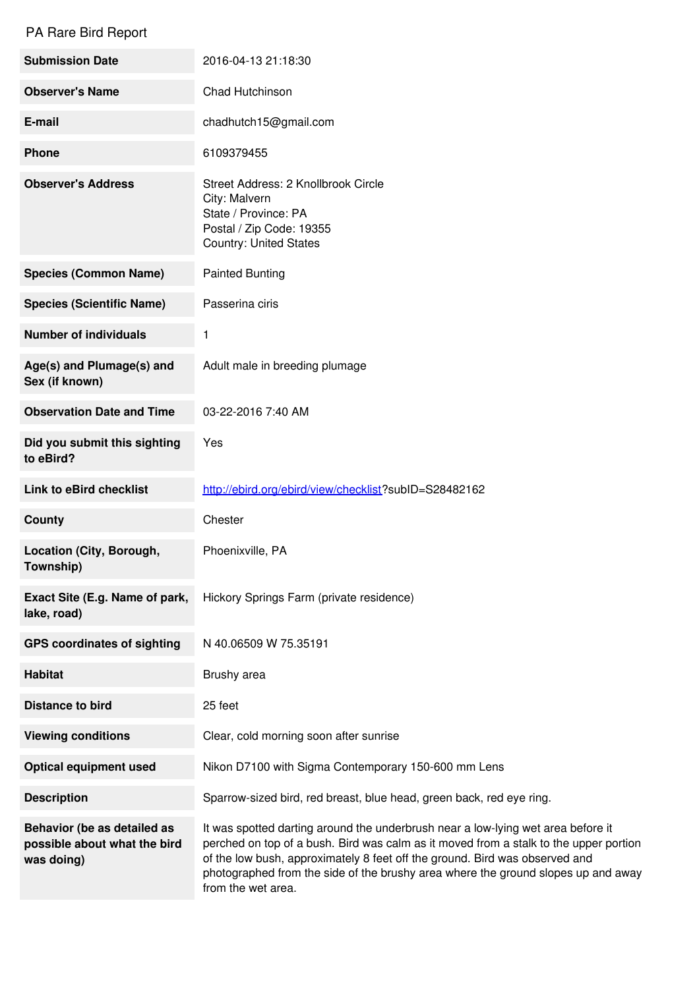## PA Rare Bird Report

| <b>Submission Date</b>                                                    | 2016-04-13 21:18:30                                                                                                                                                                                                                                                                                                                                                 |
|---------------------------------------------------------------------------|---------------------------------------------------------------------------------------------------------------------------------------------------------------------------------------------------------------------------------------------------------------------------------------------------------------------------------------------------------------------|
| <b>Observer's Name</b>                                                    | Chad Hutchinson                                                                                                                                                                                                                                                                                                                                                     |
| E-mail                                                                    | chadhutch15@gmail.com                                                                                                                                                                                                                                                                                                                                               |
| <b>Phone</b>                                                              | 6109379455                                                                                                                                                                                                                                                                                                                                                          |
| <b>Observer's Address</b>                                                 | Street Address: 2 Knollbrook Circle<br>City: Malvern<br>State / Province: PA<br>Postal / Zip Code: 19355<br><b>Country: United States</b>                                                                                                                                                                                                                           |
| <b>Species (Common Name)</b>                                              | <b>Painted Bunting</b>                                                                                                                                                                                                                                                                                                                                              |
| <b>Species (Scientific Name)</b>                                          | Passerina ciris                                                                                                                                                                                                                                                                                                                                                     |
| <b>Number of individuals</b>                                              | 1                                                                                                                                                                                                                                                                                                                                                                   |
| Age(s) and Plumage(s) and<br>Sex (if known)                               | Adult male in breeding plumage                                                                                                                                                                                                                                                                                                                                      |
| <b>Observation Date and Time</b>                                          | 03-22-2016 7:40 AM                                                                                                                                                                                                                                                                                                                                                  |
| Did you submit this sighting<br>to eBird?                                 | Yes                                                                                                                                                                                                                                                                                                                                                                 |
| <b>Link to eBird checklist</b>                                            | http://ebird.org/ebird/view/checklist?subID=S28482162                                                                                                                                                                                                                                                                                                               |
| <b>County</b>                                                             | Chester                                                                                                                                                                                                                                                                                                                                                             |
| Location (City, Borough,<br>Township)                                     | Phoenixville, PA                                                                                                                                                                                                                                                                                                                                                    |
| Exact Site (E.g. Name of park,<br>lake, road)                             | Hickory Springs Farm (private residence)                                                                                                                                                                                                                                                                                                                            |
| <b>GPS coordinates of sighting</b>                                        | N 40.06509 W 75.35191                                                                                                                                                                                                                                                                                                                                               |
| <b>Habitat</b>                                                            | Brushy area                                                                                                                                                                                                                                                                                                                                                         |
| <b>Distance to bird</b>                                                   | 25 feet                                                                                                                                                                                                                                                                                                                                                             |
| <b>Viewing conditions</b>                                                 | Clear, cold morning soon after sunrise                                                                                                                                                                                                                                                                                                                              |
| <b>Optical equipment used</b>                                             | Nikon D7100 with Sigma Contemporary 150-600 mm Lens                                                                                                                                                                                                                                                                                                                 |
| <b>Description</b>                                                        | Sparrow-sized bird, red breast, blue head, green back, red eye ring.                                                                                                                                                                                                                                                                                                |
| Behavior (be as detailed as<br>possible about what the bird<br>was doing) | It was spotted darting around the underbrush near a low-lying wet area before it<br>perched on top of a bush. Bird was calm as it moved from a stalk to the upper portion<br>of the low bush, approximately 8 feet off the ground. Bird was observed and<br>photographed from the side of the brushy area where the ground slopes up and away<br>from the wet area. |